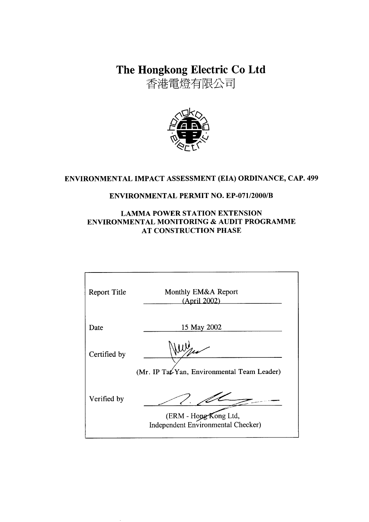The Hongkong Electric Co Ltd

香港電燈有限公司



# ENVIRONMENTAL IMPACT ASSESSMENT (EIA) ORDINANCE, CAP. 499

### **ENVIRONMENTAL PERMIT NO. EP-071/2000/B**

### **LAMMA POWER STATION EXTENSION** ENVIRONMENTAL MONITORING & AUDIT PROGRAMME **AT CONSTRUCTION PHASE**

| <b>Report Title</b> | Monthly EM&A Report<br>(April 2002)                         |
|---------------------|-------------------------------------------------------------|
| Date                | 15 May 2002                                                 |
| Certified by        | (Mr. IP Tat-Yan, Environmental Team Leader)                 |
| Verified by         | (ERM - Hong Kong Ltd,<br>Independent Environmental Checker) |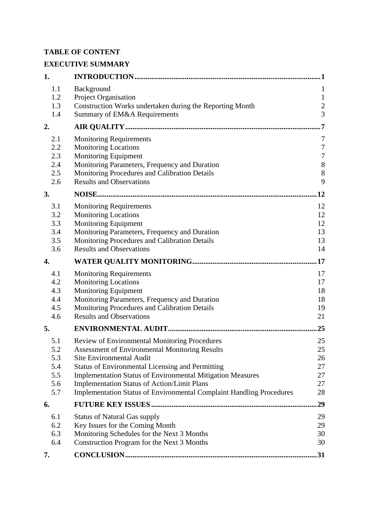# **TABLE OF CONTENT**

# **EXECUTIVE SUMMARY**

| 1.                                            |                                                                                                                                                                                                                                                                                                                                                                                                  | . 1                                                                   |
|-----------------------------------------------|--------------------------------------------------------------------------------------------------------------------------------------------------------------------------------------------------------------------------------------------------------------------------------------------------------------------------------------------------------------------------------------------------|-----------------------------------------------------------------------|
| 1.1<br>1.2<br>1.3                             | Background<br>Project Organisation<br>Construction Works undertaken during the Reporting Month                                                                                                                                                                                                                                                                                                   | 1<br>$\mathbf{1}$<br>$\overline{c}$                                   |
| 1.4                                           | Summary of EM&A Requirements                                                                                                                                                                                                                                                                                                                                                                     | $\overline{3}$                                                        |
| 2.                                            |                                                                                                                                                                                                                                                                                                                                                                                                  | $\overline{7}$                                                        |
| 2.1<br>2.2<br>2.3<br>2.4<br>2.5<br>2.6        | <b>Monitoring Requirements</b><br><b>Monitoring Locations</b><br><b>Monitoring Equipment</b><br>Monitoring Parameters, Frequency and Duration<br>Monitoring Procedures and Calibration Details<br><b>Results and Observations</b>                                                                                                                                                                | 7<br>$\boldsymbol{7}$<br>$\boldsymbol{7}$<br>$8\phantom{1}$<br>8<br>9 |
| 3.                                            |                                                                                                                                                                                                                                                                                                                                                                                                  | .12                                                                   |
| 3.1<br>3.2<br>3.3<br>3.4<br>3.5<br>3.6        | <b>Monitoring Requirements</b><br><b>Monitoring Locations</b><br><b>Monitoring Equipment</b><br>Monitoring Parameters, Frequency and Duration<br>Monitoring Procedures and Calibration Details<br><b>Results and Observations</b>                                                                                                                                                                | 12<br>12<br>12<br>13<br>13<br>14                                      |
| 4.                                            |                                                                                                                                                                                                                                                                                                                                                                                                  | .17                                                                   |
| 4.1<br>4.2<br>4.3<br>4.4<br>4.5<br>4.6        | <b>Monitoring Requirements</b><br><b>Monitoring Locations</b><br><b>Monitoring Equipment</b><br>Monitoring Parameters, Frequency and Duration<br>Monitoring Procedures and Calibration Details<br><b>Results and Observations</b>                                                                                                                                                                | 17<br>17<br>18<br>18<br>19<br>21                                      |
| 5.                                            |                                                                                                                                                                                                                                                                                                                                                                                                  | 25                                                                    |
| 5.1<br>5.2<br>5.3<br>5.4<br>5.5<br>5.6<br>5.7 | Review of Environmental Monitoring Procedures<br><b>Assessment of Environmental Monitoring Results</b><br>Site Environmental Audit<br><b>Status of Environmental Licensing and Permitting</b><br>Implementation Status of Environmental Mitigation Measures<br><b>Implementation Status of Action/Limit Plans</b><br><b>Implementation Status of Environmental Complaint Handling Procedures</b> | 25<br>25<br>26<br>27<br>27<br>27<br>28                                |
| 6.                                            |                                                                                                                                                                                                                                                                                                                                                                                                  | 29                                                                    |
| 6.1<br>6.2<br>6.3<br>6.4                      | <b>Status of Natural Gas supply</b><br>Key Issues for the Coming Month<br>Monitoring Schedules for the Next 3 Months<br>Construction Program for the Next 3 Months                                                                                                                                                                                                                               | 29<br>29<br>30<br>30                                                  |
| 7.                                            |                                                                                                                                                                                                                                                                                                                                                                                                  | .31                                                                   |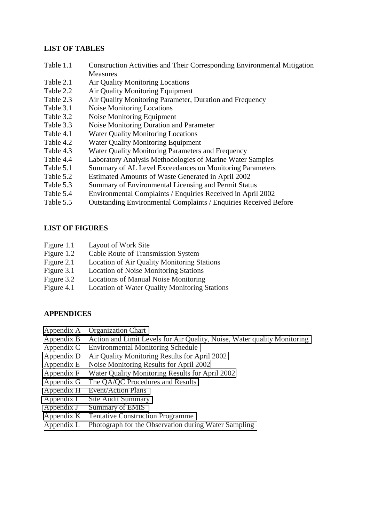#### **LIST OF TABLES**

- Table 1.1 Construction Activities and Their Corresponding Environmental Mitigation **Measures**
- Table 2.1 Air Quality Monitoring Locations
- Table 2.2 Air Quality Monitoring Equipment
- Table 2.3 Air Quality Monitoring Parameter, Duration and Frequency
- Table 3.1 Noise Monitoring Locations
- Table 3.2 Noise Monitoring Equipment
- Table 3.3 Noise Monitoring Duration and Parameter
- Table 4.1 Water Quality Monitoring Locations
- Table 4.2 Water Quality Monitoring Equipment
- Table 4.3 Water Quality Monitoring Parameters and Frequency
- Table 4.4 Laboratory Analysis Methodologies of Marine Water Samples
- Table 5.1 Summary of AL Level Exceedances on Monitoring Parameters
- Table 5.2 Estimated Amounts of Waste Generated in April 2002
- Table 5.3 Summary of Environmental Licensing and Permit Status
- Table 5.4 Environmental Complaints / Enquiries Received in April 2002
- Table 5.5 Outstanding Environmental Complaints / Enquiries Received Before

#### **LIST OF FIGURES**

- Figure 1.1 Layout of Work Site
- Figure 1.2 Cable Route of Transmission System
- Figure 2.1 Location of Air Quality Monitoring Stations
- Figure 3.1 Location of Noise Monitoring Stations
- Figure 3.2 Locations of Manual Noise Monitoring
- Figure 4.1 Location of Water Quality Monitoring Stations

#### **APPENDICES**

- Appendix A Organization Chart
- Appendix B Action and Limit Levels for Air Quality, Noise, Water quality Monitoring
- Appendix C Environmental Monitoring Schedule
- Appendix D Air Quality Monitoring Results for April 2002
- Appendix E Noise Monitoring Results for April 2002
- Appendix F Water Quality Monitoring Results for April 2002
- Appendix G The QA/QC Procedures and Results
- Appendix H Event/Action Plans
- Appendix I Site Audit Summary
- Appendix J Summary of EMIS
- Appendix K Tentative Construction Programme
- Appendix L Photograph for the Observation during Water Sampling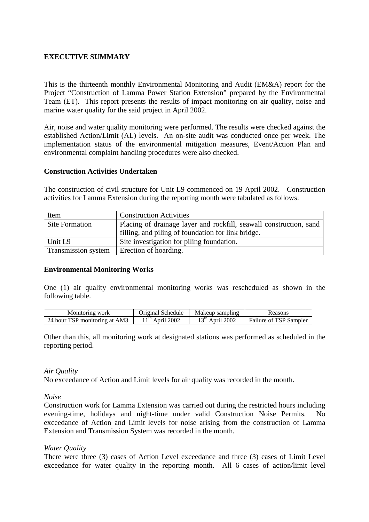### **EXECUTIVE SUMMARY**

This is the thirteenth monthly Environmental Monitoring and Audit (EM&A) report for the Project "Construction of Lamma Power Station Extension" prepared by the Environmental Team (ET). This report presents the results of impact monitoring on air quality, noise and marine water quality for the said project in April 2002.

Air, noise and water quality monitoring were performed. The results were checked against the established Action/Limit (AL) levels. An on-site audit was conducted once per week. The implementation status of the environmental mitigation measures, Event/Action Plan and environmental complaint handling procedures were also checked.

#### **Construction Activities Undertaken**

The construction of civil structure for Unit L9 commenced on 19 April 2002. Construction activities for Lamma Extension during the reporting month were tabulated as follows:

| Item                  | <b>Construction Activities</b>                                     |
|-----------------------|--------------------------------------------------------------------|
| <b>Site Formation</b> | Placing of drainage layer and rockfill, seawall construction, sand |
|                       | filling, and piling of foundation for link bridge.                 |
| Unit L9               | Site investigation for piling foundation.                          |
| Transmission system   | Erection of hoarding.                                              |

#### **Environmental Monitoring Works**

One (1) air quality environmental monitoring works was rescheduled as shown in the following table.

| Monitoring work               | Original Schedule  | Makeup sampling         | Reasons                       |
|-------------------------------|--------------------|-------------------------|-------------------------------|
| 24 hour TSP monitoring at AM3 | - th<br>April 2002 | $\sim$ th<br>April 2002 | <b>Failure of TSP Sampler</b> |

Other than this, all monitoring work at designated stations was performed as scheduled in the reporting period.

#### *Air Quality*

No exceedance of Action and Limit levels for air quality was recorded in the month.

*Noise* 

Construction work for Lamma Extension was carried out during the restricted hours including evening-time, holidays and night-time under valid Construction Noise Permits. No exceedance of Action and Limit levels for noise arising from the construction of Lamma Extension and Transmission System was recorded in the month.

#### *Water Quality*

There were three (3) cases of Action Level exceedance and three (3) cases of Limit Level exceedance for water quality in the reporting month. All 6 cases of action/limit level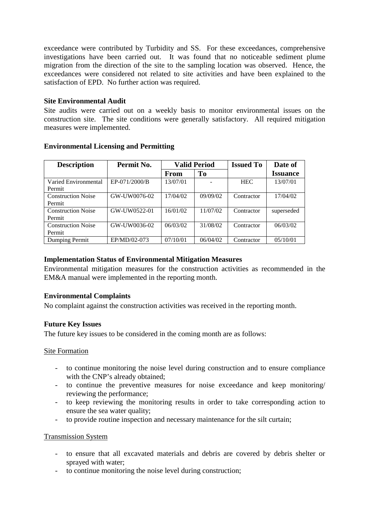exceedance were contributed by Turbidity and SS. For these exceedances, comprehensive investigations have been carried out. It was found that no noticeable sediment plume migration from the direction of the site to the sampling location was observed. Hence, the exceedances were considered not related to site activities and have been explained to the satisfaction of EPD. No further action was required.

### **Site Environmental Audit**

Site audits were carried out on a weekly basis to monitor environmental issues on the construction site. The site conditions were generally satisfactory. All required mitigation measures were implemented.

| <b>Description</b>                  | Permit No.    | <b>Valid Period</b> |                | <b>Issued To</b> | Date of         |
|-------------------------------------|---------------|---------------------|----------------|------------------|-----------------|
|                                     |               | From                | T <sub>0</sub> |                  | <b>Issuance</b> |
| Varied Environmental<br>Permit      | EP-071/2000/B | 13/07/01            |                | <b>HEC</b>       | 13/07/01        |
| <b>Construction Noise</b><br>Permit | GW-UW0076-02  | 17/04/02            | 09/09/02       | Contractor       | 17/04/02        |
| <b>Construction Noise</b><br>Permit | GW-UW0522-01  | 16/01/02            | 11/07/02       | Contractor       | superseded      |
| <b>Construction Noise</b><br>Permit | GW-UW0036-02  | 06/03/02            | 31/08/02       | Contractor       | 06/03/02        |
| Dumping Permit                      | EP/MD/02-073  | 07/10/01            | 06/04/02       | Contractor       | 05/10/01        |

#### **Environmental Licensing and Permitting**

### **Implementation Status of Environmental Mitigation Measures**

Environmental mitigation measures for the construction activities as recommended in the EM&A manual were implemented in the reporting month.

### **Environmental Complaints**

No complaint against the construction activities was received in the reporting month.

#### **Future Key Issues**

The future key issues to be considered in the coming month are as follows:

#### Site Formation

- to continue monitoring the noise level during construction and to ensure compliance with the CNP's already obtained:
- to continue the preventive measures for noise exceedance and keep monitoring/ reviewing the performance;
- to keep reviewing the monitoring results in order to take corresponding action to ensure the sea water quality;
- to provide routine inspection and necessary maintenance for the silt curtain;

#### Transmission System

- to ensure that all excavated materials and debris are covered by debris shelter or sprayed with water;
- to continue monitoring the noise level during construction;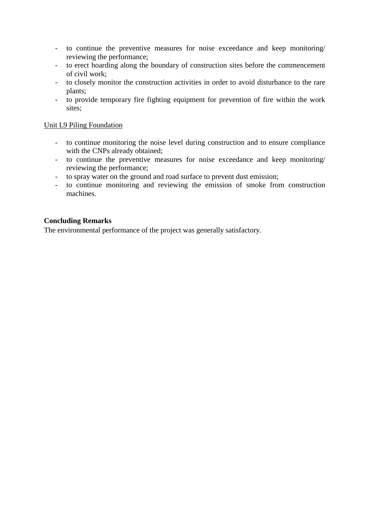- to continue the preventive measures for noise exceedance and keep monitoring/ reviewing the performance;
- to erect hoarding along the boundary of construction sites before the commencement of civil work;
- to closely monitor the construction activities in order to avoid disturbance to the rare plants;
- to provide temporary fire fighting equipment for prevention of fire within the work sites;

#### Unit L9 Piling Foundation

- to continue monitoring the noise level during construction and to ensure compliance with the CNPs already obtained;
- to continue the preventive measures for noise exceedance and keep monitoring/ reviewing the performance;
- to spray water on the ground and road surface to prevent dust emission;
- to continue monitoring and reviewing the emission of smoke from construction machines.

### **Concluding Remarks**

The environmental performance of the project was generally satisfactory.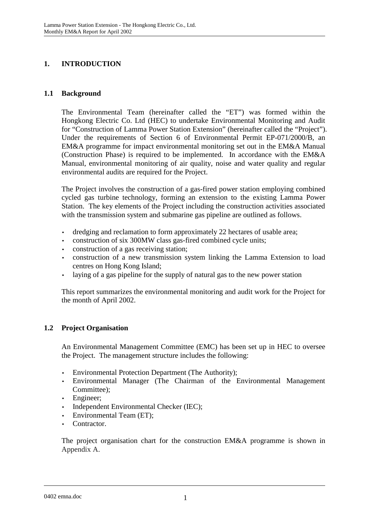# **1. INTRODUCTION**

# **1.1 Background**

The Environmental Team (hereinafter called the "ET") was formed within the Hongkong Electric Co. Ltd (HEC) to undertake Environmental Monitoring and Audit for "Construction of Lamma Power Station Extension" (hereinafter called the "Project"). Under the requirements of Section 6 of Environmental Permit EP-071/2000/B, an EM&A programme for impact environmental monitoring set out in the EM&A Manual (Construction Phase) is required to be implemented. In accordance with the EM&A Manual, environmental monitoring of air quality, noise and water quality and regular environmental audits are required for the Project.

The Project involves the construction of a gas-fired power station employing combined cycled gas turbine technology, forming an extension to the existing Lamma Power Station. The key elements of the Project including the construction activities associated with the transmission system and submarine gas pipeline are outlined as follows.

- dredging and reclamation to form approximately 22 hectares of usable area;
- construction of six 300MW class gas-fired combined cycle units;
- construction of a gas receiving station;
- construction of a new transmission system linking the Lamma Extension to load centres on Hong Kong Island;
- laying of a gas pipeline for the supply of natural gas to the new power station

This report summarizes the environmental monitoring and audit work for the Project for the month of April 2002.

# **1.2 Project Organisation**

An Environmental Management Committee (EMC) has been set up in HEC to oversee the Project. The management structure includes the following:

- Environmental Protection Department (The Authority);
- Environmental Manager (The Chairman of the Environmental Management Committee);
- Engineer:
- Independent Environmental Checker (IEC);
- Environmental Team (ET);
- Contractor.

The project organisation chart for the construction EM&A programme is shown in Appendix A.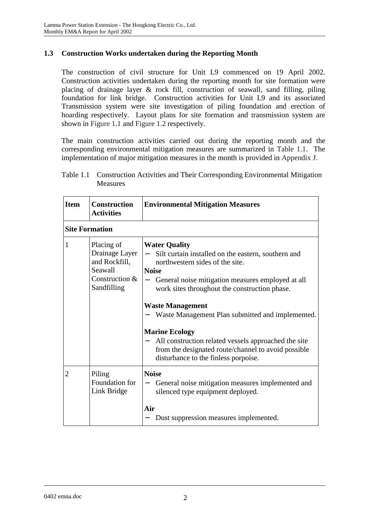# **1.3 Construction Works undertaken during the Reporting Month**

The construction of civil structure for Unit L9 commenced on 19 April 2002. Construction activities undertaken during the reporting month for site formation were placing of drainage layer & rock fill, construction of seawall, sand filling, piling foundation for link bridge. Construction activities for Unit L9 and its associated Transmission system were site investigation of piling foundation and erection of hoarding respectively. Layout plans for site formation and transmission system are shown in Figure 1.1 and Figure 1.2 respectively.

The main construction activities carried out during the reporting month and the corresponding environmental mitigation measures are summarized in Table 1.1. The implementation of major mitigation measures in the month is provided in Appendix J.

| Table 1.1 Construction Activities and Their Corresponding Environmental Mitigation<br>Measures |  |  |
|------------------------------------------------------------------------------------------------|--|--|
|                                                                                                |  |  |

**Item Construction Environmental Mitigation Measures** 

|                       | <b>Activities</b>                                                                           |                                                                                                                                                                                                                                                                                                                                                                                                                                                                                                     |
|-----------------------|---------------------------------------------------------------------------------------------|-----------------------------------------------------------------------------------------------------------------------------------------------------------------------------------------------------------------------------------------------------------------------------------------------------------------------------------------------------------------------------------------------------------------------------------------------------------------------------------------------------|
| <b>Site Formation</b> |                                                                                             |                                                                                                                                                                                                                                                                                                                                                                                                                                                                                                     |
| 1                     | Placing of<br>Drainage Layer<br>and Rockfill,<br>Seawall<br>Construction $&$<br>Sandfilling | <b>Water Quality</b><br>Silt curtain installed on the eastern, southern and<br>northwestern sides of the site.<br><b>Noise</b><br>General noise mitigation measures employed at all<br>work sites throughout the construction phase.<br><b>Waste Management</b><br>Waste Management Plan submitted and implemented.<br><b>Marine Ecology</b><br>All construction related vessels approached the site<br>from the designated route/channel to avoid possible<br>disturbance to the finless porpoise. |
| $\overline{2}$        | Piling<br>Foundation for<br>Link Bridge                                                     | <b>Noise</b><br>General noise mitigation measures implemented and<br>silenced type equipment deployed.<br>Air<br>Dust suppression measures implemented.                                                                                                                                                                                                                                                                                                                                             |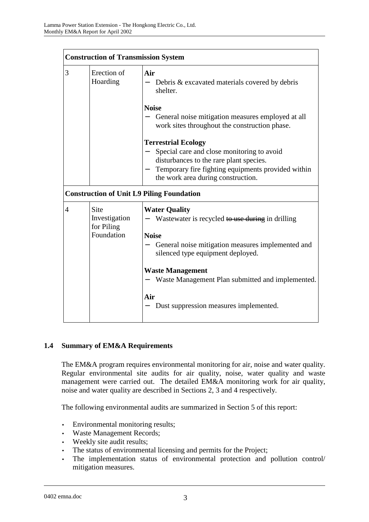|   | <b>Construction of Transmission System</b>               |                                                                                                                                                                                                                                                                                                                    |  |  |
|---|----------------------------------------------------------|--------------------------------------------------------------------------------------------------------------------------------------------------------------------------------------------------------------------------------------------------------------------------------------------------------------------|--|--|
| 3 | Erection of<br>Hoarding                                  | Air<br>Debris & excavated materials covered by debris<br>shelter.                                                                                                                                                                                                                                                  |  |  |
|   |                                                          | <b>Noise</b><br>General noise mitigation measures employed at all<br>work sites throughout the construction phase.                                                                                                                                                                                                 |  |  |
|   |                                                          | <b>Terrestrial Ecology</b><br>Special care and close monitoring to avoid<br>disturbances to the rare plant species.<br>Temporary fire fighting equipments provided within<br>the work area during construction.                                                                                                    |  |  |
|   |                                                          | <b>Construction of Unit L9 Piling Foundation</b>                                                                                                                                                                                                                                                                   |  |  |
| 4 | <b>Site</b><br>Investigation<br>for Piling<br>Foundation | <b>Water Quality</b><br>Wastewater is recycled to use during in drilling<br><b>Noise</b><br>General noise mitigation measures implemented and<br>silenced type equipment deployed.<br><b>Waste Management</b><br>Waste Management Plan submitted and implemented.<br>Air<br>Dust suppression measures implemented. |  |  |

### **1.4 Summary of EM&A Requirements**

The EM&A program requires environmental monitoring for air, noise and water quality. Regular environmental site audits for air quality, noise, water quality and waste management were carried out. The detailed EM&A monitoring work for air quality, noise and water quality are described in Sections 2, 3 and 4 respectively.

The following environmental audits are summarized in Section 5 of this report:

- Environmental monitoring results;
- Waste Management Records;
- Weekly site audit results;
- The status of environmental licensing and permits for the Project;
- The implementation status of environmental protection and pollution control/ mitigation measures.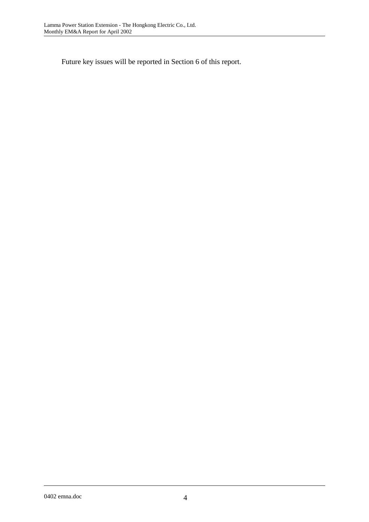Future key issues will be reported in Section 6 of this report.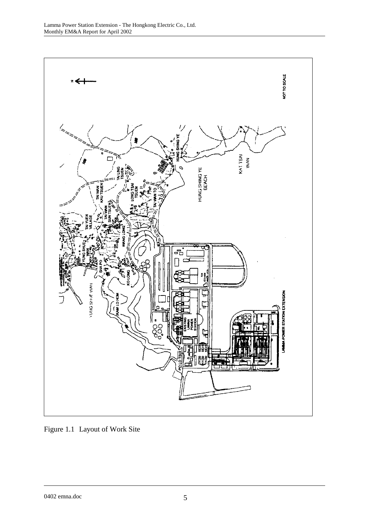

Figure 1.1 Layout of Work Site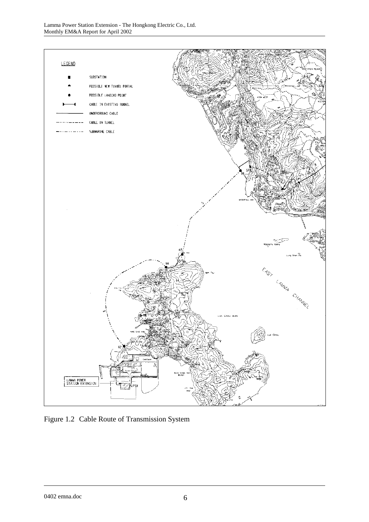

Figure 1.2 Cable Route of Transmission System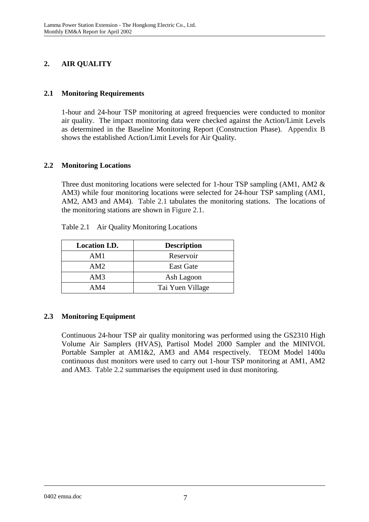# **2. AIR QUALITY**

# **2.1 Monitoring Requirements**

1-hour and 24-hour TSP monitoring at agreed frequencies were conducted to monitor air quality. The impact monitoring data were checked against the Action/Limit Levels as determined in the Baseline Monitoring Report (Construction Phase). Appendix B shows the established Action/Limit Levels for Air Quality.

# **2.2 Monitoring Locations**

Three dust monitoring locations were selected for 1-hour TSP sampling (AM1, AM2 & AM3) while four monitoring locations were selected for 24-hour TSP sampling (AM1, AM2, AM3 and AM4). Table 2.1 tabulates the monitoring stations. The locations of the monitoring stations are shown in Figure 2.1.

| <b>Location I.D.</b> | <b>Description</b> |
|----------------------|--------------------|
| AM1                  | Reservoir          |
| AM2                  | <b>East Gate</b>   |
| AM3                  | Ash Lagoon         |
| AM4                  | Tai Yuen Village   |

Table 2.1 Air Quality Monitoring Locations

# **2.3 Monitoring Equipment**

Continuous 24-hour TSP air quality monitoring was performed using the GS2310 High Volume Air Samplers (HVAS), Partisol Model 2000 Sampler and the MINIVOL Portable Sampler at AM1&2, AM3 and AM4 respectively. TEOM Model 1400a continuous dust monitors were used to carry out 1-hour TSP monitoring at AM1, AM2 and AM3. Table 2.2 summarises the equipment used in dust monitoring.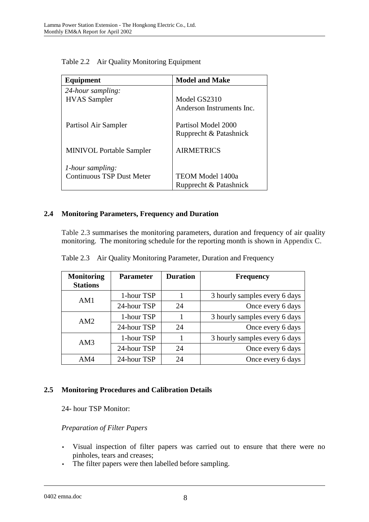| Equipment                        | <b>Model and Make</b>     |
|----------------------------------|---------------------------|
| 24-hour sampling:                |                           |
| <b>HVAS</b> Sampler              | Model GS2310              |
|                                  | Anderson Instruments Inc. |
| Partisol Air Sampler             | Partisol Model 2000       |
|                                  | Rupprecht & Patashnick    |
| <b>MINIVOL Portable Sampler</b>  | <b>AIRMETRICS</b>         |
| <i>l</i> -hour sampling:         |                           |
| <b>Continuous TSP Dust Meter</b> | TEOM Model 1400a          |
|                                  | Rupprecht & Patashnick    |

Table 2.2 Air Quality Monitoring Equipment

# **2.4 Monitoring Parameters, Frequency and Duration**

Table 2.3 summarises the monitoring parameters, duration and frequency of air quality monitoring. The monitoring schedule for the reporting month is shown in Appendix C.

| <b>Monitoring</b><br><b>Stations</b> | <b>Parameter</b> | <b>Duration</b> | <b>Frequency</b>              |
|--------------------------------------|------------------|-----------------|-------------------------------|
| AM1                                  | 1-hour TSP       |                 | 3 hourly samples every 6 days |
|                                      | 24-hour TSP      | 24              | Once every 6 days             |
| AM2                                  | 1-hour TSP       |                 | 3 hourly samples every 6 days |
|                                      | 24-hour TSP      | 24              | Once every 6 days             |
| AM3                                  | 1-hour TSP       |                 | 3 hourly samples every 6 days |
|                                      | 24-hour TSP      | 24              | Once every 6 days             |
| AM4                                  | 24-hour TSP      | 24              | Once every 6 days             |

Table 2.3 Air Quality Monitoring Parameter, Duration and Frequency

### **2.5 Monitoring Procedures and Calibration Details**

24- hour TSP Monitor:

### *Preparation of Filter Papers*

- Visual inspection of filter papers was carried out to ensure that there were no pinholes, tears and creases;
- The filter papers were then labelled before sampling.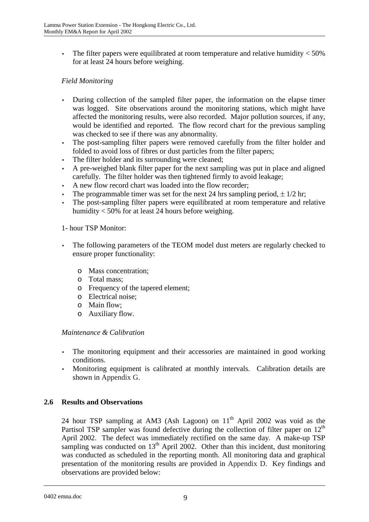• The filter papers were equilibrated at room temperature and relative humidity  $<$  50% for at least 24 hours before weighing.

# *Field Monitoring*

- During collection of the sampled filter paper, the information on the elapse timer was logged. Site observations around the monitoring stations, which might have affected the monitoring results, were also recorded. Major pollution sources, if any, would be identified and reported. The flow record chart for the previous sampling was checked to see if there was any abnormality.
- The post-sampling filter papers were removed carefully from the filter holder and folded to avoid loss of fibres or dust particles from the filter papers;
- The filter holder and its surrounding were cleaned;
- A pre-weighed blank filter paper for the next sampling was put in place and aligned carefully. The filter holder was then tightened firmly to avoid leakage;
- A new flow record chart was loaded into the flow recorder;
- The programmable timer was set for the next 24 hrs sampling period,  $\pm 1/2$  hr;
- The post-sampling filter papers were equilibrated at room temperature and relative humidity < 50% for at least 24 hours before weighing.

#### 1- hour TSP Monitor:

- The following parameters of the TEOM model dust meters are regularly checked to ensure proper functionality:
	- o Mass concentration;
	- o Total mass;
	- o Frequency of the tapered element;
	- o Electrical noise;
	- o Main flow;
	- o Auxiliary flow.

#### *Maintenance & Calibration*

- The monitoring equipment and their accessories are maintained in good working conditions.
- Monitoring equipment is calibrated at monthly intervals. Calibration details are shown in Appendix G.

### **2.6 Results and Observations**

24 hour TSP sampling at AM3 (Ash Lagoon) on  $11<sup>th</sup>$  April 2002 was void as the Partisol TSP sampler was found defective during the collection of filter paper on  $12<sup>th</sup>$ April 2002. The defect was immediately rectified on the same day. A make-up TSP sampling was conducted on  $13<sup>th</sup>$  April 2002. Other than this incident, dust monitoring was conducted as scheduled in the reporting month. All monitoring data and graphical presentation of the monitoring results are provided in Appendix D. Key findings and observations are provided below: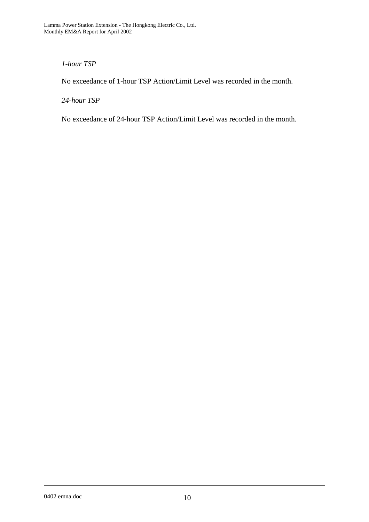## *1-hour TSP*

No exceedance of 1-hour TSP Action/Limit Level was recorded in the month.

*24-hour TSP* 

No exceedance of 24-hour TSP Action/Limit Level was recorded in the month.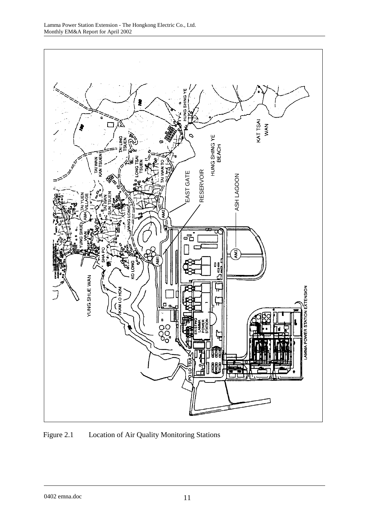

Figure 2.1 Location of Air Quality Monitoring Stations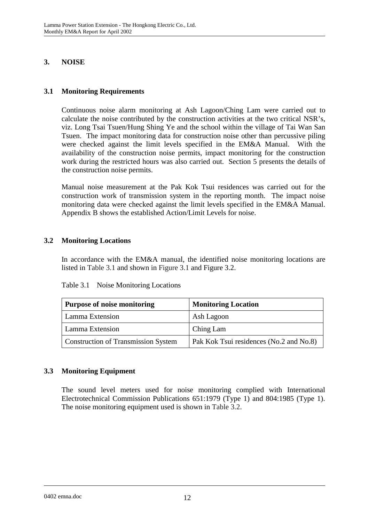# **3. NOISE**

# **3.1 Monitoring Requirements**

Continuous noise alarm monitoring at Ash Lagoon/Ching Lam were carried out to calculate the noise contributed by the construction activities at the two critical NSR's, viz. Long Tsai Tsuen/Hung Shing Ye and the school within the village of Tai Wan San Tsuen. The impact monitoring data for construction noise other than percussive piling were checked against the limit levels specified in the EM&A Manual. With the availability of the construction noise permits, impact monitoring for the construction work during the restricted hours was also carried out. Section 5 presents the details of the construction noise permits.

Manual noise measurement at the Pak Kok Tsui residences was carried out for the construction work of transmission system in the reporting month. The impact noise monitoring data were checked against the limit levels specified in the EM&A Manual. Appendix B shows the established Action/Limit Levels for noise.

# **3.2 Monitoring Locations**

In accordance with the EM&A manual, the identified noise monitoring locations are listed in Table 3.1 and shown in Figure 3.1 and Figure 3.2.

| <b>Purpose of noise monitoring</b>         | <b>Monitoring Location</b>              |
|--------------------------------------------|-----------------------------------------|
| Lamma Extension                            | Ash Lagoon                              |
| Lamma Extension                            | Ching Lam                               |
| <b>Construction of Transmission System</b> | Pak Kok Tsui residences (No.2 and No.8) |

Table 3.1 Noise Monitoring Locations

# **3.3 Monitoring Equipment**

The sound level meters used for noise monitoring complied with International Electrotechnical Commission Publications 651:1979 (Type 1) and 804:1985 (Type 1). The noise monitoring equipment used is shown in Table 3.2.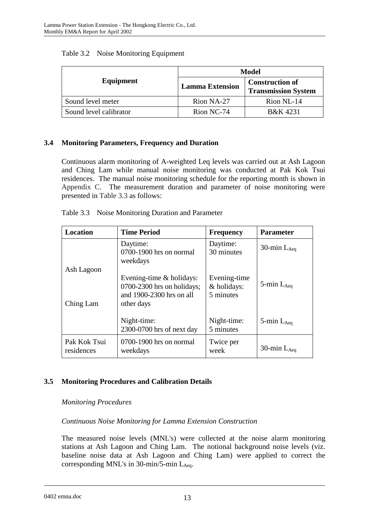|                        | Model                  |                                                      |  |
|------------------------|------------------------|------------------------------------------------------|--|
| Equipment              | <b>Lamma Extension</b> | <b>Construction of</b><br><b>Transmission System</b> |  |
| Sound level meter      | Rion NA-27             | Rion NL-14                                           |  |
| Sound level calibrator | Rion NC-74             | B&K 4231                                             |  |

## Table 3.2 Noise Monitoring Equipment

# **3.4 Monitoring Parameters, Frequency and Duration**

Continuous alarm monitoring of A-weighted Leq levels was carried out at Ash Lagoon and Ching Lam while manual noise monitoring was conducted at Pak Kok Tsui residences. The manual noise monitoring schedule for the reporting month is shown in Appendix C. The measurement duration and parameter of noise monitoring were presented in Table 3.3 as follows:

| Table 3.3 Noise Monitoring Duration and Parameter |  |
|---------------------------------------------------|--|
|---------------------------------------------------|--|

| <b>Location</b>            | <b>Time Period</b>                                                                                 | <b>Frequency</b>                         | <b>Parameter</b>   |
|----------------------------|----------------------------------------------------------------------------------------------------|------------------------------------------|--------------------|
|                            | Daytime:<br>0700-1900 hrs on normal<br>weekdays                                                    | Daytime:<br>30 minutes                   | 30-min $L_{Aea}$   |
| Ash Lagoon<br>Ching Lam    | Evening-time $&$ holidays:<br>0700-2300 hrs on holidays;<br>and 1900-2300 hrs on all<br>other days | Evening-time<br>& holidays:<br>5 minutes | 5-min $L_{Aeq}$    |
|                            | Night-time:<br>2300-0700 hrs of next day                                                           | Night-time:<br>5 minutes                 | $5$ -min $L_{Aea}$ |
| Pak Kok Tsui<br>residences | 0700-1900 hrs on normal<br>weekdays                                                                | Twice per<br>week                        | 30-min $L_{Aea}$   |

# **3.5 Monitoring Procedures and Calibration Details**

### *Monitoring Procedures*

### *Continuous Noise Monitoring for Lamma Extension Construction*

The measured noise levels (MNL's) were collected at the noise alarm monitoring stations at Ash Lagoon and Ching Lam. The notional background noise levels (viz. baseline noise data at Ash Lagoon and Ching Lam) were applied to correct the corresponding MNL's in  $30$ -min/5-min L<sub>Aeq</sub>.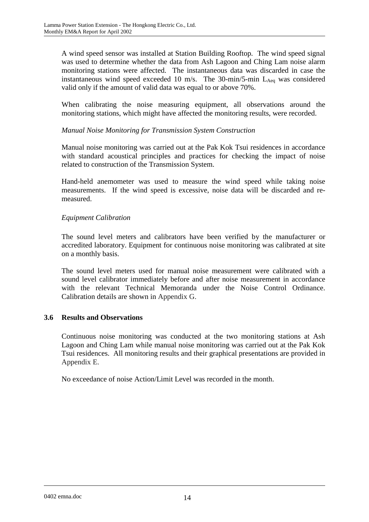A wind speed sensor was installed at Station Building Rooftop. The wind speed signal was used to determine whether the data from Ash Lagoon and Ching Lam noise alarm monitoring stations were affected. The instantaneous data was discarded in case the instantaneous wind speed exceeded 10 m/s. The 30-min/5-min  $L_{A_{eq}}$  was considered valid only if the amount of valid data was equal to or above 70%.

When calibrating the noise measuring equipment, all observations around the monitoring stations, which might have affected the monitoring results, were recorded.

### *Manual Noise Monitoring for Transmission System Construction*

Manual noise monitoring was carried out at the Pak Kok Tsui residences in accordance with standard acoustical principles and practices for checking the impact of noise related to construction of the Transmission System.

Hand-held anemometer was used to measure the wind speed while taking noise measurements. If the wind speed is excessive, noise data will be discarded and remeasured.

#### *Equipment Calibration*

The sound level meters and calibrators have been verified by the manufacturer or accredited laboratory. Equipment for continuous noise monitoring was calibrated at site on a monthly basis.

The sound level meters used for manual noise measurement were calibrated with a sound level calibrator immediately before and after noise measurement in accordance with the relevant Technical Memoranda under the Noise Control Ordinance. Calibration details are shown in Appendix G.

#### **3.6 Results and Observations**

Continuous noise monitoring was conducted at the two monitoring stations at Ash Lagoon and Ching Lam while manual noise monitoring was carried out at the Pak Kok Tsui residences. All monitoring results and their graphical presentations are provided in Appendix E.

No exceedance of noise Action/Limit Level was recorded in the month.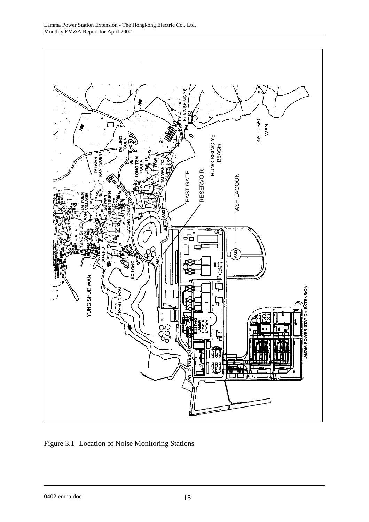

Figure 3.1 Location of Noise Monitoring Stations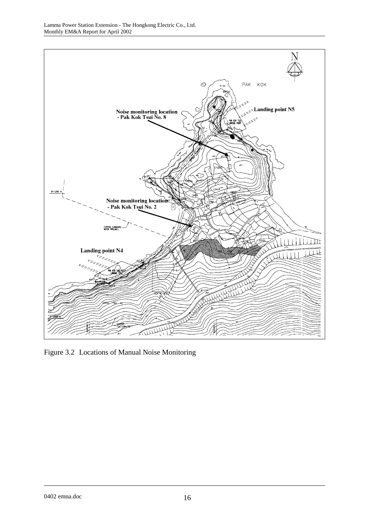

Figure 3.2 Locations of Manual Noise Monitoring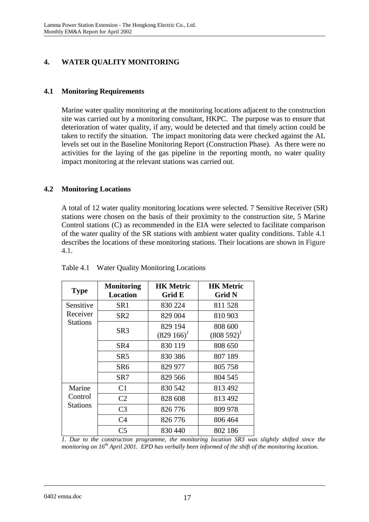# **4. WATER QUALITY MONITORING**

# **4.1 Monitoring Requirements**

Marine water quality monitoring at the monitoring locations adjacent to the construction site was carried out by a monitoring consultant, HKPC. The purpose was to ensure that deterioration of water quality, if any, would be detected and that timely action could be taken to rectify the situation. The impact monitoring data were checked against the AL levels set out in the Baseline Monitoring Report (Construction Phase). As there were no activities for the laying of the gas pipeline in the reporting month, no water quality impact monitoring at the relevant stations was carried out.

### **4.2 Monitoring Locations**

A total of 12 water quality monitoring locations were selected. 7 Sensitive Receiver (SR) stations were chosen on the basis of their proximity to the construction site, 5 Marine Control stations (C) as recommended in the EIA were selected to facilitate comparison of the water quality of the SR stations with ambient water quality conditions. Table 4.1 describes the locations of these monitoring stations. Their locations are shown in Figure 4.1.

| <b>Type</b>                          | <b>Monitoring</b><br><b>Location</b> | <b>HK Metric</b><br>Grid E | <b>HK Metric</b><br><b>Grid N</b> |
|--------------------------------------|--------------------------------------|----------------------------|-----------------------------------|
| Sensitive                            | SR <sub>1</sub>                      | 830 224                    | 811528                            |
| Receiver                             | SR <sub>2</sub>                      | 829 004                    | 810 903                           |
| Stations                             | SR <sub>3</sub>                      | 829 194<br>$(829166)^T$    | 808 600<br>$(808592)^{1}$         |
|                                      | SR4                                  | 830 119                    | 808 650                           |
|                                      | SR5                                  | 830 386                    | 807 189                           |
|                                      | SR6                                  | 829 977                    | 805 758                           |
|                                      | SR7                                  | 829 566                    | 804 545                           |
| Marine<br>Control<br><b>Stations</b> | C <sub>1</sub>                       | 830 542                    | 813 492                           |
|                                      | C <sub>2</sub>                       | 828 608                    | 813 492                           |
|                                      | C <sub>3</sub>                       | 826 776                    | 809 978                           |
|                                      | C <sub>4</sub>                       | 826 776                    | 806 464                           |
|                                      | C <sub>5</sub>                       | 830 440                    | 802 186                           |

Table 4.1 Water Quality Monitoring Locations

*1. Due to the construction programme, the monitoring location SR3 was slightly shifted since the monitoring on 16th April 2001. EPD has verbally been informed of the shift of the monitoring location.*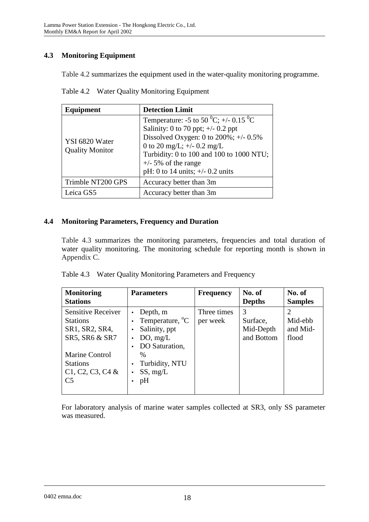# **4.3 Monitoring Equipment**

Table 4.2 summarizes the equipment used in the water-quality monitoring programme.

| Table 4.2 Water Quality Monitoring Equipment |  |
|----------------------------------------------|--|
|                                              |  |

| Equipment                                | <b>Detection Limit</b>                                                                                                                                                                                                                                                   |  |
|------------------------------------------|--------------------------------------------------------------------------------------------------------------------------------------------------------------------------------------------------------------------------------------------------------------------------|--|
| YSI 6820 Water<br><b>Quality Monitor</b> | Temperature: -5 to 50 °C; +/- 0.15 °C<br>Salinity: 0 to 70 ppt; $\pm$ /- 0.2 ppt<br>Dissolved Oxygen: 0 to $200\%$ ; +/- 0.5%<br>0 to 20 mg/L; $+/-$ 0.2 mg/L<br>Turbidity: 0 to 100 and 100 to 1000 NTU;<br>$+/-$ 5% of the range<br>pH: 0 to 14 units; $+/- 0.2$ units |  |
| Trimble NT200 GPS                        | Accuracy better than 3m                                                                                                                                                                                                                                                  |  |
| Leica GS5                                | Accuracy better than 3m                                                                                                                                                                                                                                                  |  |

### **4.4 Monitoring Parameters, Frequency and Duration**

Table 4.3 summarizes the monitoring parameters, frequencies and total duration of water quality monitoring. The monitoring schedule for reporting month is shown in Appendix C.

|  |  | Table 4.3 Water Quality Monitoring Parameters and Frequency |  |
|--|--|-------------------------------------------------------------|--|
|--|--|-------------------------------------------------------------|--|

| <b>Monitoring</b><br><b>Stations</b>                                                                                                                        | <b>Parameters</b>                                                                                                                           | <b>Frequency</b>        | No. of<br><b>Depths</b>                  | No. of<br><b>Samples</b>                                    |
|-------------------------------------------------------------------------------------------------------------------------------------------------------------|---------------------------------------------------------------------------------------------------------------------------------------------|-------------------------|------------------------------------------|-------------------------------------------------------------|
| Sensitive Receiver<br><b>Stations</b><br>SR1, SR2, SR4,<br>SR5, SR6 & SR7<br><b>Marine Control</b><br><b>Stations</b><br>C1, C2, C3, C4 &<br>C <sub>5</sub> | Depth, m<br>Temperature, <sup>o</sup> C<br>Salinity, ppt<br>DO, mg/L<br>DO Saturation,<br>$\frac{0}{0}$<br>Turbidity, NTU<br>SS, mg/L<br>pH | Three times<br>per week | 3<br>Surface,<br>Mid-Depth<br>and Bottom | $\mathcal{D}_{\mathcal{A}}$<br>Mid-ebb<br>and Mid-<br>flood |

For laboratory analysis of marine water samples collected at SR3, only SS parameter was measured.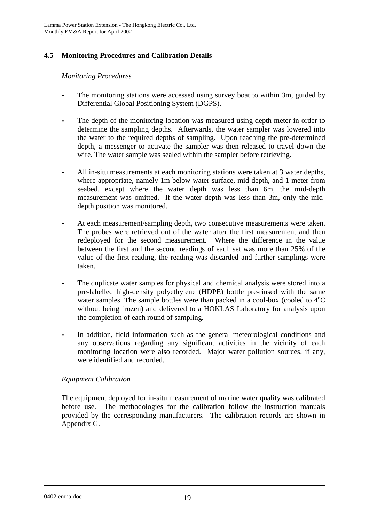# **4.5 Monitoring Procedures and Calibration Details**

### *Monitoring Procedures*

- The monitoring stations were accessed using survey boat to within 3m, guided by Differential Global Positioning System (DGPS).
- The depth of the monitoring location was measured using depth meter in order to determine the sampling depths. Afterwards, the water sampler was lowered into the water to the required depths of sampling. Upon reaching the pre-determined depth, a messenger to activate the sampler was then released to travel down the wire. The water sample was sealed within the sampler before retrieving.
- All in-situ measurements at each monitoring stations were taken at 3 water depths, where appropriate, namely 1m below water surface, mid-depth, and 1 meter from seabed, except where the water depth was less than 6m, the mid-depth measurement was omitted. If the water depth was less than 3m, only the middepth position was monitored.
- At each measurement/sampling depth, two consecutive measurements were taken. The probes were retrieved out of the water after the first measurement and then redeployed for the second measurement. Where the difference in the value between the first and the second readings of each set was more than 25% of the value of the first reading, the reading was discarded and further samplings were taken.
- The duplicate water samples for physical and chemical analysis were stored into a pre-labelled high-density polyethylene (HDPE) bottle pre-rinsed with the same water samples. The sample bottles were than packed in a cool-box (cooled to  $4^{\circ}C$ without being frozen) and delivered to a HOKLAS Laboratory for analysis upon the completion of each round of sampling.
- In addition, field information such as the general meteorological conditions and any observations regarding any significant activities in the vicinity of each monitoring location were also recorded. Major water pollution sources, if any, were identified and recorded.

### *Equipment Calibration*

The equipment deployed for in-situ measurement of marine water quality was calibrated before use. The methodologies for the calibration follow the instruction manuals provided by the corresponding manufacturers. The calibration records are shown in Appendix G.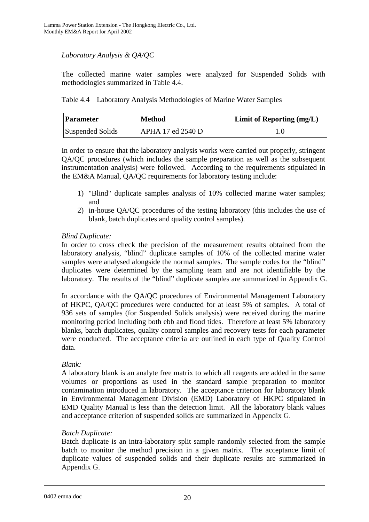# *Laboratory Analysis & QA/QC*

The collected marine water samples were analyzed for Suspended Solids with methodologies summarized in Table 4.4.

Table 4.4 Laboratory Analysis Methodologies of Marine Water Samples

| Parameter        | <b>Method</b>     | <b>Limit of Reporting (mg/L)</b> |
|------------------|-------------------|----------------------------------|
| Suspended Solids | APHA 17 ed 2540 D |                                  |

In order to ensure that the laboratory analysis works were carried out properly, stringent QA/QC procedures (which includes the sample preparation as well as the subsequent instrumentation analysis) were followed. According to the requirements stipulated in the EM&A Manual, QA/QC requirements for laboratory testing include:

- 1) "Blind" duplicate samples analysis of 10% collected marine water samples; and
- 2) in-house QA/QC procedures of the testing laboratory (this includes the use of blank, batch duplicates and quality control samples).

# *Blind Duplicate:*

In order to cross check the precision of the measurement results obtained from the laboratory analysis, "blind" duplicate samples of 10% of the collected marine water samples were analysed alongside the normal samples. The sample codes for the "blind" duplicates were determined by the sampling team and are not identifiable by the laboratory. The results of the "blind" duplicate samples are summarized in Appendix G.

In accordance with the QA/QC procedures of Environmental Management Laboratory of HKPC, QA/QC procedures were conducted for at least 5% of samples. A total of 936 sets of samples (for Suspended Solids analysis) were received during the marine monitoring period including both ebb and flood tides. Therefore at least 5% laboratory blanks, batch duplicates, quality control samples and recovery tests for each parameter were conducted. The acceptance criteria are outlined in each type of Quality Control data.

### *Blank:*

A laboratory blank is an analyte free matrix to which all reagents are added in the same volumes or proportions as used in the standard sample preparation to monitor contamination introduced in laboratory. The acceptance criterion for laboratory blank in Environmental Management Division (EMD) Laboratory of HKPC stipulated in EMD Quality Manual is less than the detection limit. All the laboratory blank values and acceptance criterion of suspended solids are summarized in Appendix G.

### *Batch Duplicate:*

Batch duplicate is an intra-laboratory split sample randomly selected from the sample batch to monitor the method precision in a given matrix. The acceptance limit of duplicate values of suspended solids and their duplicate results are summarized in Appendix G.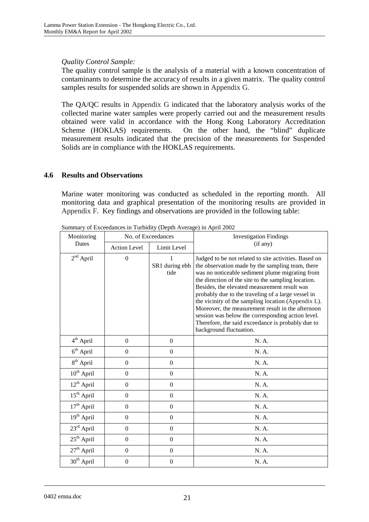### *Quality Control Sample:*

The quality control sample is the analysis of a material with a known concentration of contaminants to determine the accuracy of results in a given matrix. The quality control samples results for suspended solids are shown in Appendix G.

The QA/QC results in Appendix G indicated that the laboratory analysis works of the collected marine water samples were properly carried out and the measurement results obtained were valid in accordance with the Hong Kong Laboratory Accreditation Scheme (HOKLAS) requirements. On the other hand, the "blind" duplicate measurement results indicated that the precision of the measurements for Suspended Solids are in compliance with the HOKLAS requirements.

#### **4.6 Results and Observations**

Marine water monitoring was conducted as scheduled in the reporting month. All monitoring data and graphical presentation of the monitoring results are provided in Appendix F. Key findings and observations are provided in the following table:

| Monitoring             |                     | No. of Exceedances     | <b>Investigation Findings</b>                                                                                                                                                                                                                                                                                                                                                                                                                                                                                                                                              |
|------------------------|---------------------|------------------------|----------------------------------------------------------------------------------------------------------------------------------------------------------------------------------------------------------------------------------------------------------------------------------------------------------------------------------------------------------------------------------------------------------------------------------------------------------------------------------------------------------------------------------------------------------------------------|
| Dates                  | <b>Action Level</b> | Limit Level            | (if any)                                                                                                                                                                                                                                                                                                                                                                                                                                                                                                                                                                   |
| $2nd$ April            | $\boldsymbol{0}$    | SR1 during ebb<br>tide | Judged to be not related to site activities. Based on<br>the observation made by the sampling team, there<br>was no noticeable sediment plume migrating from<br>the direction of the site to the sampling location.<br>Besides, the elevated measurement result was<br>probably due to the traveling of a large vessel in<br>the vicinity of the sampling location (Appendix L).<br>Moreover, the measurement result in the afternoon<br>session was below the corresponding action level.<br>Therefore, the said exceedance is probably due to<br>background fluctuation. |
| 4 <sup>th</sup> April  | $\mathbf{0}$        | $\boldsymbol{0}$       | N. A.                                                                                                                                                                                                                                                                                                                                                                                                                                                                                                                                                                      |
| $6th$ April            | $\overline{0}$      | $\overline{0}$         | N. A.                                                                                                                                                                                                                                                                                                                                                                                                                                                                                                                                                                      |
| $8th$ April            | $\overline{0}$      | $\boldsymbol{0}$       | N. A.                                                                                                                                                                                                                                                                                                                                                                                                                                                                                                                                                                      |
| 10 <sup>th</sup> April | $\boldsymbol{0}$    | $\boldsymbol{0}$       | N. A.                                                                                                                                                                                                                                                                                                                                                                                                                                                                                                                                                                      |
| $12^{th}$ April        | $\boldsymbol{0}$    | $\boldsymbol{0}$       | N. A.                                                                                                                                                                                                                                                                                                                                                                                                                                                                                                                                                                      |
| $15th$ April           | $\overline{0}$      | $\overline{0}$         | N. A.                                                                                                                                                                                                                                                                                                                                                                                                                                                                                                                                                                      |
| $17th$ April           | $\boldsymbol{0}$    | $\boldsymbol{0}$       | N. A.                                                                                                                                                                                                                                                                                                                                                                                                                                                                                                                                                                      |
| $19th$ April           | $\boldsymbol{0}$    | $\overline{0}$         | N. A.                                                                                                                                                                                                                                                                                                                                                                                                                                                                                                                                                                      |
| $23rd$ April           | $\overline{0}$      | $\overline{0}$         | N. A.                                                                                                                                                                                                                                                                                                                                                                                                                                                                                                                                                                      |
| $25th$ April           | $\overline{0}$      | $\boldsymbol{0}$       | N. A.                                                                                                                                                                                                                                                                                                                                                                                                                                                                                                                                                                      |
| $27th$ April           | $\boldsymbol{0}$    | $\boldsymbol{0}$       | N. A.                                                                                                                                                                                                                                                                                                                                                                                                                                                                                                                                                                      |
| $30th$ April           | $\boldsymbol{0}$    | $\boldsymbol{0}$       | N. A.                                                                                                                                                                                                                                                                                                                                                                                                                                                                                                                                                                      |

Summary of Exceedances in Turbidity (Depth Average) in April 2002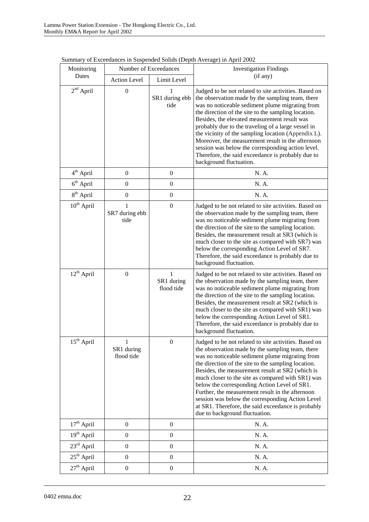| Monitoring             | Number of Exceedances         |                               | <b>Investigation Findings</b>                                                                                                                                                                                                                                                                                                                                                                                                                                                                                                                                                |
|------------------------|-------------------------------|-------------------------------|------------------------------------------------------------------------------------------------------------------------------------------------------------------------------------------------------------------------------------------------------------------------------------------------------------------------------------------------------------------------------------------------------------------------------------------------------------------------------------------------------------------------------------------------------------------------------|
| Dates                  | <b>Action Level</b>           | Limit Level                   | (if any)                                                                                                                                                                                                                                                                                                                                                                                                                                                                                                                                                                     |
| $2nd$ April            | $\boldsymbol{0}$              | SR1 during ebb<br>tide        | Judged to be not related to site activities. Based on<br>the observation made by the sampling team, there<br>was no noticeable sediment plume migrating from<br>the direction of the site to the sampling location.<br>Besides, the elevated measurement result was<br>probably due to the traveling of a large vessel in<br>the vicinity of the sampling location (Appendix L).<br>Moreover, the measurement result in the afternoon<br>session was below the corresponding action level.<br>Therefore, the said exceedance is probably due to<br>background fluctuation.   |
| $4th$ April            | $\boldsymbol{0}$              | $\boldsymbol{0}$              | N. A.                                                                                                                                                                                                                                                                                                                                                                                                                                                                                                                                                                        |
| $6th$ April            | $\overline{0}$                | $\overline{0}$                | N. A.                                                                                                                                                                                                                                                                                                                                                                                                                                                                                                                                                                        |
| 8 <sup>th</sup> April  | $\boldsymbol{0}$              | $\boldsymbol{0}$              | N. A.                                                                                                                                                                                                                                                                                                                                                                                                                                                                                                                                                                        |
| $10^{th}$ April        | 1<br>SR7 during ebb<br>tide   | $\boldsymbol{0}$              | Judged to be not related to site activities. Based on<br>the observation made by the sampling team, there<br>was no noticeable sediment plume migrating from<br>the direction of the site to the sampling location.<br>Besides, the measurement result at SR3 (which is<br>much closer to the site as compared with SR7) was<br>below the corresponding Action Level of SR7.<br>Therefore, the said exceedance is probably due to<br>background fluctuation.                                                                                                                 |
| 12 <sup>th</sup> April | $\overline{0}$                | 1<br>SR1 during<br>flood tide | Judged to be not related to site activities. Based on<br>the observation made by the sampling team, there<br>was no noticeable sediment plume migrating from<br>the direction of the site to the sampling location.<br>Besides, the measurement result at SR2 (which is<br>much closer to the site as compared with SR1) was<br>below the corresponding Action Level of SR1.<br>Therefore, the said exceedance is probably due to<br>background fluctuation.                                                                                                                 |
| $15th$ April           | 1<br>SR1 during<br>flood tide | $\boldsymbol{0}$              | Judged to be not related to site activities. Based on<br>the observation made by the sampling team, there<br>was no noticeable sediment plume migrating from<br>the direction of the site to the sampling location.<br>Besides, the measurement result at SR2 (which is<br>much closer to the site as compared with SR1) was<br>below the corresponding Action Level of SR1.<br>Further, the measurement result in the afternoon<br>session was below the corresponding Action Level<br>at SR1. Therefore, the said exceedance is probably<br>due to background fluctuation. |
| $17th$ April           | $\overline{0}$                | $\boldsymbol{0}$              | N. A.                                                                                                                                                                                                                                                                                                                                                                                                                                                                                                                                                                        |
| $19th$ April           | $\boldsymbol{0}$              | $\boldsymbol{0}$              | N. A.                                                                                                                                                                                                                                                                                                                                                                                                                                                                                                                                                                        |
| 23rd April             | $\boldsymbol{0}$              | $\boldsymbol{0}$              | N. A.                                                                                                                                                                                                                                                                                                                                                                                                                                                                                                                                                                        |
| 25 <sup>th</sup> April | $\boldsymbol{0}$              | $\boldsymbol{0}$              | N. A.                                                                                                                                                                                                                                                                                                                                                                                                                                                                                                                                                                        |
| $27th$ April           | $\boldsymbol{0}$              | $\boldsymbol{0}$              | N. A.                                                                                                                                                                                                                                                                                                                                                                                                                                                                                                                                                                        |

Summary of Exceedances in Suspended Solids (Depth Average) in April 2002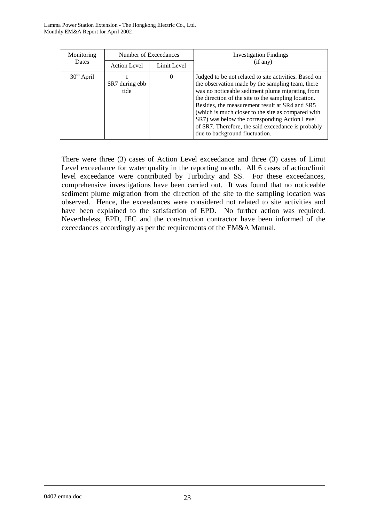| Monitoring   | Number of Exceedances  |             | <b>Investigation Findings</b>                                                                                                                                                                                                                                                                                                                                                                                                                                        |
|--------------|------------------------|-------------|----------------------------------------------------------------------------------------------------------------------------------------------------------------------------------------------------------------------------------------------------------------------------------------------------------------------------------------------------------------------------------------------------------------------------------------------------------------------|
| Dates        | <b>Action Level</b>    | Limit Level | (if any)                                                                                                                                                                                                                                                                                                                                                                                                                                                             |
| $30th$ April | SR7 during ebb<br>tide | 0           | Judged to be not related to site activities. Based on<br>the observation made by the sampling team, there<br>was no noticeable sediment plume migrating from<br>the direction of the site to the sampling location.<br>Besides, the measurement result at SR4 and SR5<br>(which is much closer to the site as compared with<br>SR7) was below the corresponding Action Level<br>of SR7. Therefore, the said exceedance is probably<br>due to background fluctuation. |

There were three (3) cases of Action Level exceedance and three (3) cases of Limit Level exceedance for water quality in the reporting month. All 6 cases of action/limit level exceedance were contributed by Turbidity and SS. For these exceedances, comprehensive investigations have been carried out. It was found that no noticeable sediment plume migration from the direction of the site to the sampling location was observed. Hence, the exceedances were considered not related to site activities and have been explained to the satisfaction of EPD. No further action was required. Nevertheless, EPD, IEC and the construction contractor have been informed of the exceedances accordingly as per the requirements of the EM&A Manual.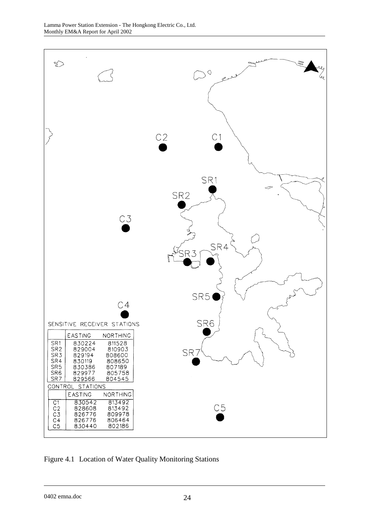

Figure 4.1 Location of Water Quality Monitoring Stations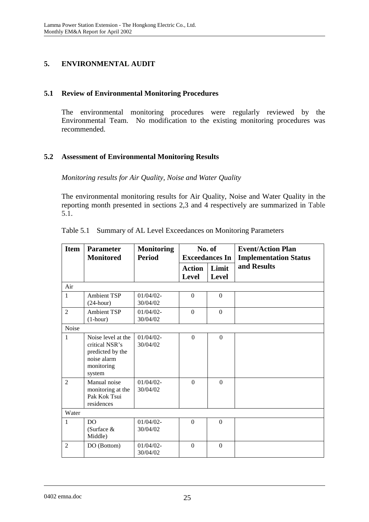# **5. ENVIRONMENTAL AUDIT**

### **5.1 Review of Environmental Monitoring Procedures**

The environmental monitoring procedures were regularly reviewed by the Environmental Team. No modification to the existing monitoring procedures was recommended.

#### **5.2 Assessment of Environmental Monitoring Results**

*Monitoring results for Air Quality, Noise and Water Quality* 

The environmental monitoring results for Air Quality, Noise and Water Quality in the reporting month presented in sections 2,3 and 4 respectively are summarized in Table 5.1.

| <b>Item</b>    | <b>Parameter</b><br><b>Monitored</b>                                                            | <b>Monitoring</b><br><b>Period</b> | No. of<br><b>Exceedances In</b> |                       | <b>Event/Action Plan</b><br><b>Implementation Status</b> |
|----------------|-------------------------------------------------------------------------------------------------|------------------------------------|---------------------------------|-----------------------|----------------------------------------------------------|
|                |                                                                                                 |                                    | <b>Action</b><br>Level          | Limit<br><b>Level</b> | and Results                                              |
| Air            |                                                                                                 |                                    |                                 |                       |                                                          |
| $\mathbf{1}$   | <b>Ambient TSP</b><br>$(24$ -hour)                                                              | $01/04/02$ -<br>30/04/02           | $\Omega$                        | $\Omega$              |                                                          |
| $\overline{2}$ | <b>Ambient TSP</b><br>$(1-hour)$                                                                | $01/04/02$ -<br>30/04/02           | $\Omega$                        | $\Omega$              |                                                          |
| Noise          |                                                                                                 |                                    |                                 |                       |                                                          |
| $\mathbf{1}$   | Noise level at the<br>critical NSR's<br>predicted by the<br>noise alarm<br>monitoring<br>system | $01/04/02$ -<br>30/04/02           | $\overline{0}$                  | $\overline{0}$        |                                                          |
| $\overline{2}$ | Manual noise<br>monitoring at the<br>Pak Kok Tsui<br>residences                                 | $01/04/02$ -<br>30/04/02           | $\Omega$                        | $\Omega$              |                                                          |
| Water          |                                                                                                 |                                    |                                 |                       |                                                          |
| $\mathbf{1}$   | D <sub>O</sub><br>(Surface $&$<br>Middle)                                                       | $01/04/02$ -<br>30/04/02           | $\Omega$                        | $\Omega$              |                                                          |
| $\mathfrak{D}$ | DO (Bottom)                                                                                     | $01/04/02$ -<br>30/04/02           | $\Omega$                        | $\Omega$              |                                                          |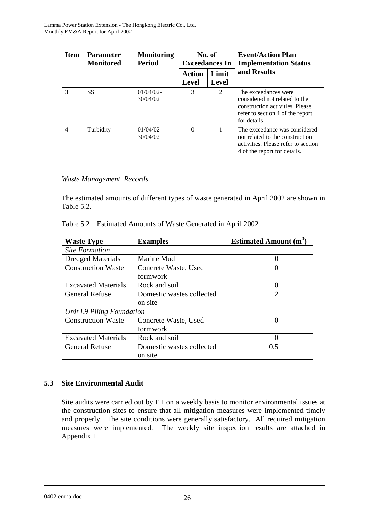| <b>Item</b>    | <b>Parameter</b><br><b>Monitored</b> | <b>Monitoring</b><br><b>Period</b> | No. of<br><b>Exceedances In</b> |                | <b>Event/Action Plan</b><br><b>Implementation Status</b>                                                                                     |  |
|----------------|--------------------------------------|------------------------------------|---------------------------------|----------------|----------------------------------------------------------------------------------------------------------------------------------------------|--|
|                |                                      |                                    | Action<br><b>Level</b>          | Limit<br>Level | and Results                                                                                                                                  |  |
| 3              | <b>SS</b>                            | $01/04/02$ -<br>30/04/02           | 3                               | $\mathfrak{D}$ | The exceedances were<br>considered not related to the<br>construction activities. Please<br>refer to section 4 of the report<br>for details. |  |
| $\overline{4}$ | Turbidity                            | $01/04/02$ -<br>30/04/02           | $\Omega$                        |                | The exceedance was considered<br>not related to the construction<br>activities. Please refer to section<br>4 of the report for details.      |  |

#### *Waste Management Records*

The estimated amounts of different types of waste generated in April 2002 are shown in Table 5.2.

| <b>Waste Type</b>          | <b>Examples</b>           | <b>Estimated Amount (m<sup>3</sup></b> |  |  |  |
|----------------------------|---------------------------|----------------------------------------|--|--|--|
| <b>Site Formation</b>      |                           |                                        |  |  |  |
| <b>Dredged Materials</b>   | Marine Mud                |                                        |  |  |  |
| <b>Construction Waste</b>  | Concrete Waste, Used      |                                        |  |  |  |
|                            | formwork                  |                                        |  |  |  |
| <b>Excavated Materials</b> | Rock and soil             |                                        |  |  |  |
| <b>General Refuse</b>      | Domestic wastes collected | $\mathcal{D}_{\mathcal{L}}$            |  |  |  |
|                            | on site                   |                                        |  |  |  |
| Unit L9 Piling Foundation  |                           |                                        |  |  |  |
| <b>Construction Waste</b>  | Concrete Waste, Used      |                                        |  |  |  |
|                            | formwork                  |                                        |  |  |  |
| <b>Excavated Materials</b> | Rock and soil             |                                        |  |  |  |
| <b>General Refuse</b>      | Domestic wastes collected | 0.5                                    |  |  |  |
|                            | on site                   |                                        |  |  |  |

| Table 5.2 Estimated Amounts of Waste Generated in April 2002 |  |  |
|--------------------------------------------------------------|--|--|
|                                                              |  |  |

# **5.3 Site Environmental Audit**

Site audits were carried out by ET on a weekly basis to monitor environmental issues at the construction sites to ensure that all mitigation measures were implemented timely and properly. The site conditions were generally satisfactory. All required mitigation measures were implemented. The weekly site inspection results are attached in Appendix I.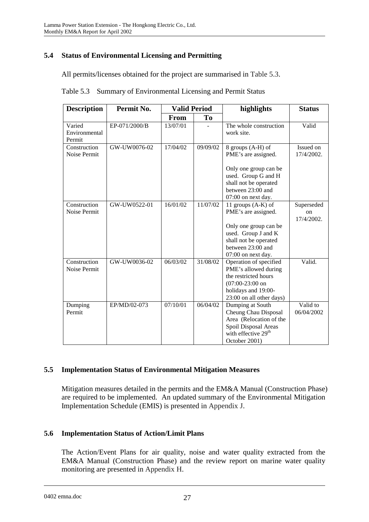# **5.4 Status of Environmental Licensing and Permitting**

All permits/licenses obtained for the project are summarised in Table 5.3.

| <b>Description</b>                | Permit No.    | <b>Valid Period</b> |          | highlights                                                                                                                                                      | <b>Status</b>                        |
|-----------------------------------|---------------|---------------------|----------|-----------------------------------------------------------------------------------------------------------------------------------------------------------------|--------------------------------------|
|                                   |               | From                | To       |                                                                                                                                                                 |                                      |
| Varied<br>Environmental<br>Permit | EP-071/2000/B | 13/07/01            |          | The whole construction<br>work site.                                                                                                                            | Valid                                |
| Construction<br>Noise Permit      | GW-UW0076-02  | 17/04/02            | 09/09/02 | 8 groups (A-H) of<br>PME's are assigned.<br>Only one group can be<br>used. Group G and H<br>shall not be operated<br>between 23:00 and<br>07:00 on next day.    | Issued on<br>17/4/2002.              |
| Construction<br>Noise Permit      | GW-UW0522-01  | 16/01/02            | 11/07/02 | 11 groups $(A-K)$ of<br>PME's are assigned.<br>Only one group can be<br>used. Group J and K<br>shall not be operated<br>between 23:00 and<br>07:00 on next day. | Superseded<br>$\alpha$<br>17/4/2002. |
| Construction<br>Noise Permit      | GW-UW0036-02  | 06/03/02            | 31/08/02 | Operation of specified<br>PME's allowed during<br>the restricted hours<br>$(07:00-23:00)$ on<br>holidays and 19:00-<br>23:00 on all other days)                 | Valid.                               |
| Dumping<br>Permit                 | EP/MD/02-073  | 07/10/01            | 06/04/02 | Dumping at South<br>Cheung Chau Disposal<br>Area (Relocation of the<br>Spoil Disposal Areas<br>with effective 29 <sup>th</sup><br>October 2001)                 | Valid to<br>06/04/2002               |

|  |  | Table 5.3 Summary of Environmental Licensing and Permit Status |
|--|--|----------------------------------------------------------------|
|--|--|----------------------------------------------------------------|

# **5.5 Implementation Status of Environmental Mitigation Measures**

Mitigation measures detailed in the permits and the EM&A Manual (Construction Phase) are required to be implemented. An updated summary of the Environmental Mitigation Implementation Schedule (EMIS) is presented in Appendix J.

# **5.6 Implementation Status of Action/Limit Plans**

The Action/Event Plans for air quality, noise and water quality extracted from the EM&A Manual (Construction Phase) and the review report on marine water quality monitoring are presented in Appendix H.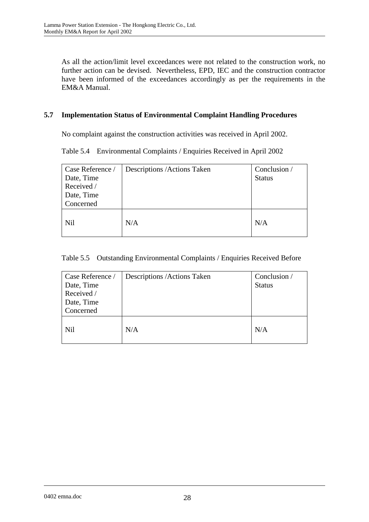As all the action/limit level exceedances were not related to the construction work, no further action can be devised. Nevertheless, EPD, IEC and the construction contractor have been informed of the exceedances accordingly as per the requirements in the EM&A Manual.

# **5.7 Implementation Status of Environmental Complaint Handling Procedures**

No complaint against the construction activities was received in April 2002.

Table 5.4 Environmental Complaints / Enquiries Received in April 2002

| Case Reference / | Descriptions / Actions Taken | Conclusion /  |
|------------------|------------------------------|---------------|
| Date, Time       |                              | <b>Status</b> |
| Received /       |                              |               |
| Date, Time       |                              |               |
| Concerned        |                              |               |
| <b>Nil</b>       | N/A                          | N/A           |

### Table 5.5 Outstanding Environmental Complaints / Enquiries Received Before

| Case Reference / | Descriptions / Actions Taken | Conclusion /  |
|------------------|------------------------------|---------------|
| Date, Time       |                              | <b>Status</b> |
| Received /       |                              |               |
| Date, Time       |                              |               |
| Concerned        |                              |               |
| <b>Nil</b>       | N/A                          | N/A           |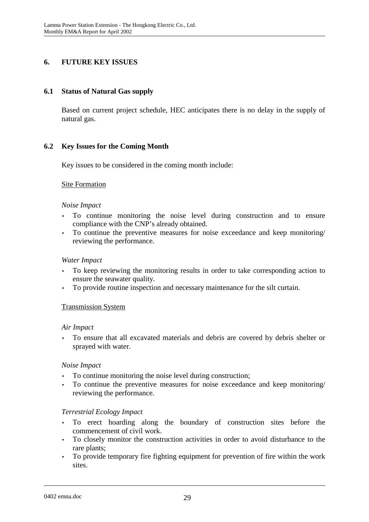# **6. FUTURE KEY ISSUES**

### **6.1 Status of Natural Gas supply**

Based on current project schedule, HEC anticipates there is no delay in the supply of natural gas.

### **6.2 Key Issues for the Coming Month**

Key issues to be considered in the coming month include:

#### Site Formation

#### *Noise Impact*

- To continue monitoring the noise level during construction and to ensure compliance with the CNP's already obtained.
- To continue the preventive measures for noise exceedance and keep monitoring/ reviewing the performance.

#### *Water Impact*

- To keep reviewing the monitoring results in order to take corresponding action to ensure the seawater quality.
- To provide routine inspection and necessary maintenance for the silt curtain.

#### Transmission System

#### *Air Impact*

• To ensure that all excavated materials and debris are covered by debris shelter or sprayed with water.

#### *Noise Impact*

- To continue monitoring the noise level during construction;
- To continue the preventive measures for noise exceedance and keep monitoring/ reviewing the performance.

#### *Terrestrial Ecology Impact*

- To erect hoarding along the boundary of construction sites before the commencement of civil work.
- To closely monitor the construction activities in order to avoid disturbance to the rare plants;
- To provide temporary fire fighting equipment for prevention of fire within the work sites.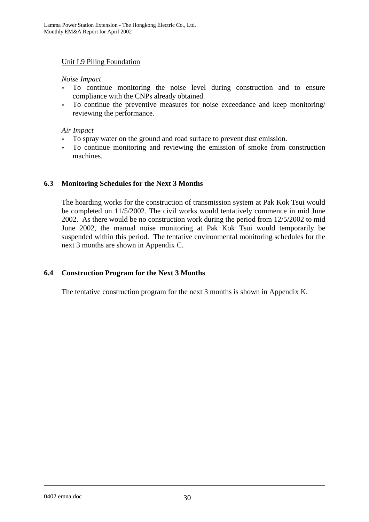### Unit L9 Piling Foundation

#### *Noise Impact*

- To continue monitoring the noise level during construction and to ensure compliance with the CNPs already obtained.
- To continue the preventive measures for noise exceedance and keep monitoring/ reviewing the performance.

#### *Air Impact*

- To spray water on the ground and road surface to prevent dust emission.
- To continue monitoring and reviewing the emission of smoke from construction machines.

# **6.3 Monitoring Schedules for the Next 3 Months**

The hoarding works for the construction of transmission system at Pak Kok Tsui would be completed on 11/5/2002. The civil works would tentatively commence in mid June 2002. As there would be no construction work during the period from 12/5/2002 to mid June 2002, the manual noise monitoring at Pak Kok Tsui would temporarily be suspended within this period. The tentative environmental monitoring schedules for the next 3 months are shown in Appendix C.

# **6.4 Construction Program for the Next 3 Months**

The tentative construction program for the next 3 months is shown in Appendix K.